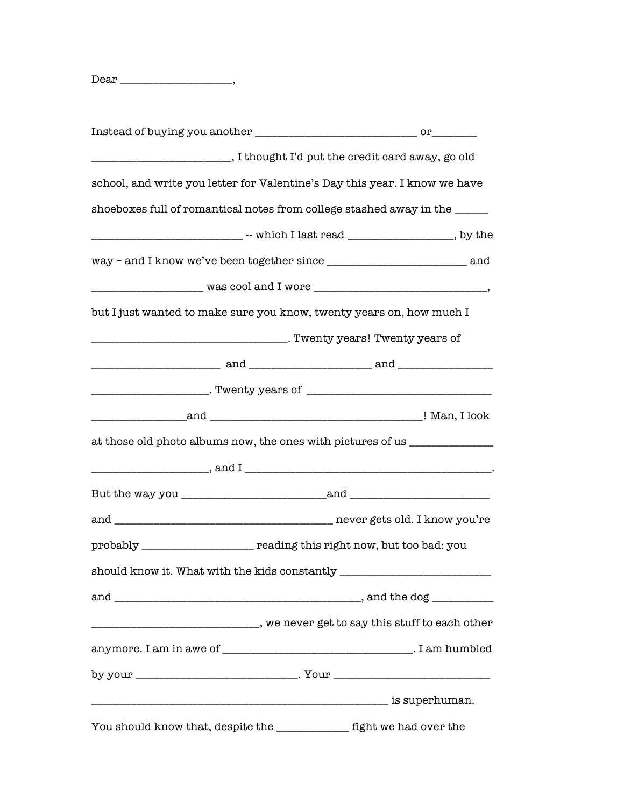Dear \_\_\_\_\_\_\_\_\_\_\_\_\_\_\_\_\_\_\_\_\_,

| ______________________________,I thought I'd put the credit card away, go old     |  |
|-----------------------------------------------------------------------------------|--|
| school, and write you letter for Valentine's Day this year. I know we have        |  |
| shoeboxes full of romantical notes from college stashed away in the ______        |  |
|                                                                                   |  |
|                                                                                   |  |
|                                                                                   |  |
| but I just wanted to make sure you know, twenty years on, how much I              |  |
|                                                                                   |  |
|                                                                                   |  |
| ____________________________. Twenty years of __________________________________  |  |
|                                                                                   |  |
| at those old photo albums now, the ones with pictures of us _____________________ |  |
|                                                                                   |  |
|                                                                                   |  |
|                                                                                   |  |
| probably ___________________ reading this right now, but too bad: you             |  |
| should know it. What with the kids constantly ___________________________________ |  |
|                                                                                   |  |
| __________________________________, we never get to say this stuff to each other  |  |
|                                                                                   |  |
| by your _______________________________. Your __________________________________  |  |
|                                                                                   |  |
| You should know that, despite the ____________ fight we had over the              |  |